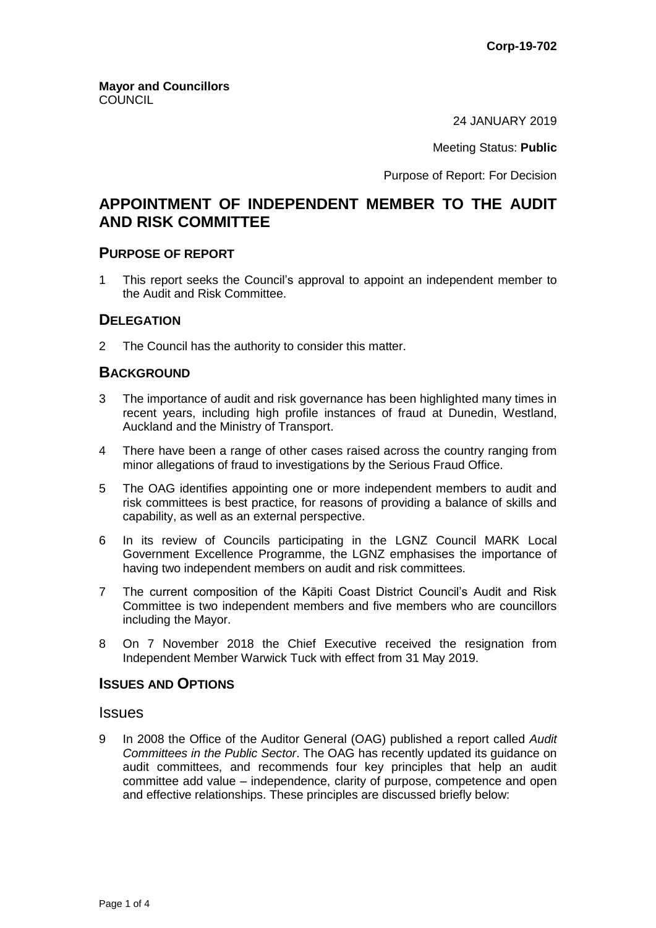24 JANUARY 2019

Meeting Status: **Public**

Purpose of Report: For Decision

# **APPOINTMENT OF INDEPENDENT MEMBER TO THE AUDIT AND RISK COMMITTEE**

### **PURPOSE OF REPORT**

1 This report seeks the Council's approval to appoint an independent member to the Audit and Risk Committee.

### **DELEGATION**

2 The Council has the authority to consider this matter.

# **BACKGROUND**

- 3 The importance of audit and risk governance has been highlighted many times in recent years, including high profile instances of fraud at Dunedin, Westland, Auckland and the Ministry of Transport.
- 4 There have been a range of other cases raised across the country ranging from minor allegations of fraud to investigations by the Serious Fraud Office.
- 5 The OAG identifies appointing one or more independent members to audit and risk committees is best practice, for reasons of providing a balance of skills and capability, as well as an external perspective.
- 6 In its review of Councils participating in the LGNZ Council MARK Local Government Excellence Programme, the LGNZ emphasises the importance of having two independent members on audit and risk committees.
- 7 The current composition of the Kāpiti Coast District Council's Audit and Risk Committee is two independent members and five members who are councillors including the Mayor.
- 8 On 7 November 2018 the Chief Executive received the resignation from Independent Member Warwick Tuck with effect from 31 May 2019.

### **ISSUES AND OPTIONS**

### **Issues**

9 In 2008 the Office of the Auditor General (OAG) published a report called *Audit Committees in the Public Sector*. The OAG has recently updated its guidance on audit committees, and recommends four key principles that help an audit committee add value – independence, clarity of purpose, competence and open and effective relationships. These principles are discussed briefly below: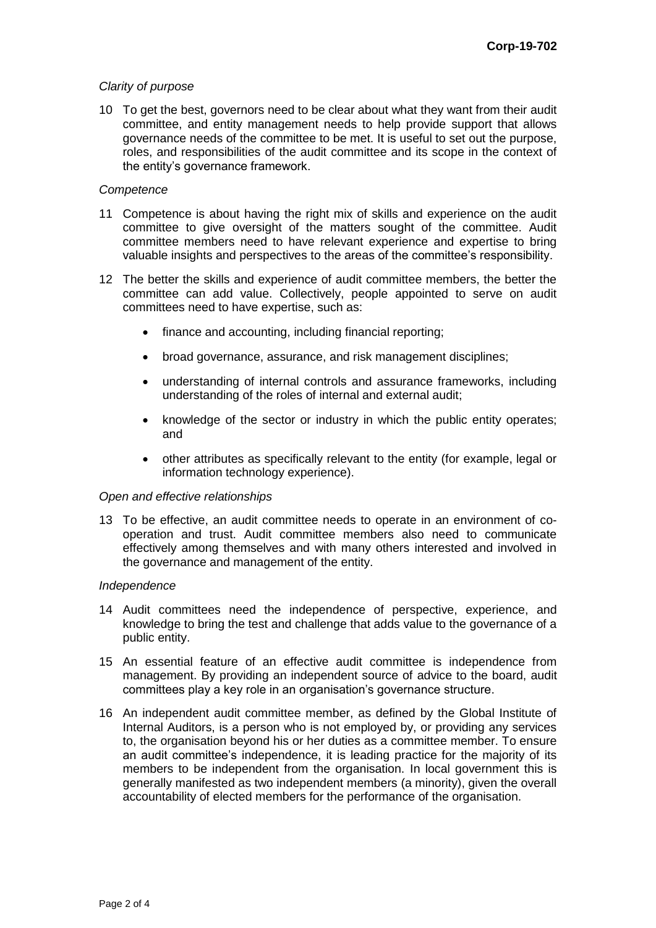### *Clarity of purpose*

10 To get the best, governors need to be clear about what they want from their audit committee, and entity management needs to help provide support that allows governance needs of the committee to be met. It is useful to set out the purpose, roles, and responsibilities of the audit committee and its scope in the context of the entity's governance framework.

#### *Competence*

- 11 Competence is about having the right mix of skills and experience on the audit committee to give oversight of the matters sought of the committee. Audit committee members need to have relevant experience and expertise to bring valuable insights and perspectives to the areas of the committee's responsibility.
- 12 The better the skills and experience of audit committee members, the better the committee can add value. Collectively, people appointed to serve on audit committees need to have expertise, such as:
	- finance and accounting, including financial reporting;
	- broad governance, assurance, and risk management disciplines;
	- understanding of internal controls and assurance frameworks, including understanding of the roles of internal and external audit;
	- knowledge of the sector or industry in which the public entity operates; and
	- other attributes as specifically relevant to the entity (for example, legal or information technology experience).

#### *Open and effective relationships*

13 To be effective, an audit committee needs to operate in an environment of cooperation and trust. Audit committee members also need to communicate effectively among themselves and with many others interested and involved in the governance and management of the entity.

#### *Independence*

- 14 Audit committees need the independence of perspective, experience, and knowledge to bring the test and challenge that adds value to the governance of a public entity.
- 15 An essential feature of an effective audit committee is independence from management. By providing an independent source of advice to the board, audit committees play a key role in an organisation's governance structure.
- 16 An independent audit committee member, as defined by the Global Institute of Internal Auditors, is a person who is not employed by, or providing any services to, the organisation beyond his or her duties as a committee member. To ensure an audit committee's independence, it is leading practice for the majority of its members to be independent from the organisation. In local government this is generally manifested as two independent members (a minority), given the overall accountability of elected members for the performance of the organisation.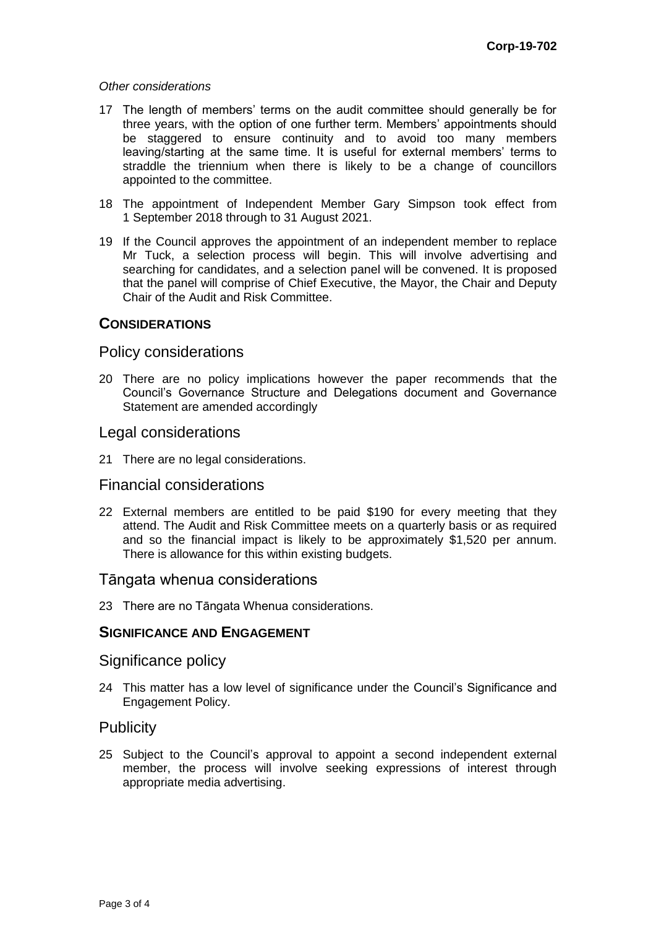#### *Other considerations*

- 17 The length of members' terms on the audit committee should generally be for three years, with the option of one further term. Members' appointments should be staggered to ensure continuity and to avoid too many members leaving/starting at the same time. It is useful for external members' terms to straddle the triennium when there is likely to be a change of councillors appointed to the committee.
- 18 The appointment of Independent Member Gary Simpson took effect from 1 September 2018 through to 31 August 2021.
- 19 If the Council approves the appointment of an independent member to replace Mr Tuck, a selection process will begin. This will involve advertising and searching for candidates, and a selection panel will be convened. It is proposed that the panel will comprise of Chief Executive, the Mayor, the Chair and Deputy Chair of the Audit and Risk Committee.

### **CONSIDERATIONS**

### Policy considerations

20 There are no policy implications however the paper recommends that the Council's Governance Structure and Delegations document and Governance Statement are amended accordingly

### Legal considerations

21 There are no legal considerations.

# Financial considerations

22 External members are entitled to be paid \$190 for every meeting that they attend. The Audit and Risk Committee meets on a quarterly basis or as required and so the financial impact is likely to be approximately \$1,520 per annum. There is allowance for this within existing budgets.

### Tāngata whenua considerations

23 There are no Tāngata Whenua considerations.

# **SIGNIFICANCE AND ENGAGEMENT**

### Significance policy

24 This matter has a low level of significance under the Council's Significance and Engagement Policy.

# **Publicity**

25 Subject to the Council's approval to appoint a second independent external member, the process will involve seeking expressions of interest through appropriate media advertising.